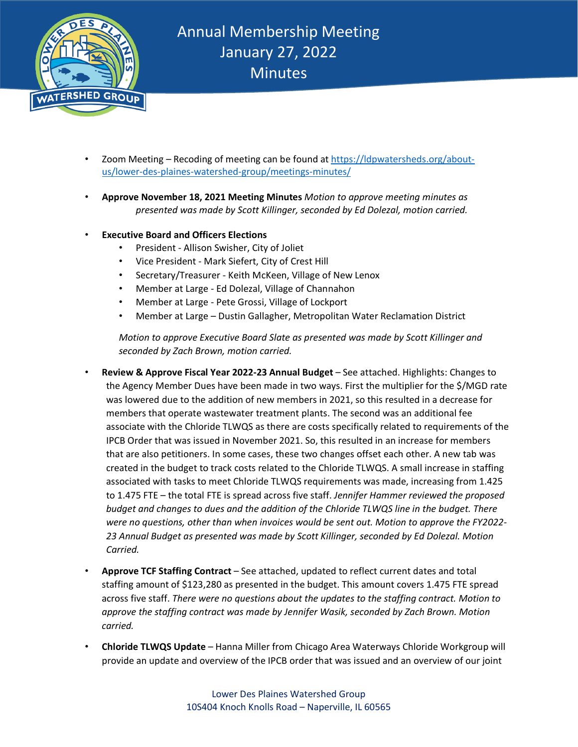

- Zoom Meeting Recoding of meeting can be found at [https://ldpwatersheds.org/about](https://ldpwatersheds.org/about-us/lower-des-plaines-watershed-group/meetings-minutes/)[us/lower-des-plaines-watershed-group/meetings-minutes/](https://ldpwatersheds.org/about-us/lower-des-plaines-watershed-group/meetings-minutes/)
- **Approve November 18, 2021 Meeting Minutes** *Motion to approve meeting minutes as presented was made by Scott Killinger, seconded by Ed Dolezal, motion carried.*
- **Executive Board and Officers Elections**
	- President Allison Swisher, City of Joliet
	- Vice President Mark Siefert, City of Crest Hill
	- Secretary/Treasurer Keith McKeen, Village of New Lenox
	- Member at Large Ed Dolezal, Village of Channahon
	- Member at Large Pete Grossi, Village of Lockport
	- Member at Large Dustin Gallagher, Metropolitan Water Reclamation District

*Motion to approve Executive Board Slate as presented was made by Scott Killinger and seconded by Zach Brown, motion carried.*

- **Review & Approve Fiscal Year 2022-23 Annual Budget** See attached. Highlights: Changes to the Agency Member Dues have been made in two ways. First the multiplier for the \$/MGD rate was lowered due to the addition of new members in 2021, so this resulted in a decrease for members that operate wastewater treatment plants. The second was an additional fee associate with the Chloride TLWQS as there are costs specifically related to requirements of the IPCB Order that was issued in November 2021. So, this resulted in an increase for members that are also petitioners. In some cases, these two changes offset each other. A new tab was created in the budget to track costs related to the Chloride TLWQS. A small increase in staffing associated with tasks to meet Chloride TLWQS requirements was made, increasing from 1.425 to 1.475 FTE – the total FTE is spread across five staff. *Jennifer Hammer reviewed the proposed budget and changes to dues and the addition of the Chloride TLWQS line in the budget. There were no questions, other than when invoices would be sent out. Motion to approve the FY2022- 23 Annual Budget as presented was made by Scott Killinger, seconded by Ed Dolezal. Motion Carried.*
- **Approve TCF Staffing Contract** See attached, updated to reflect current dates and total staffing amount of \$123,280 as presented in the budget. This amount covers 1.475 FTE spread across five staff. *There were no questions about the updates to the staffing contract. Motion to approve the staffing contract was made by Jennifer Wasik, seconded by Zach Brown. Motion carried.*
- **Chloride TLWQS Update** Hanna Miller from Chicago Area Waterways Chloride Workgroup will provide an update and overview of the IPCB order that was issued and an overview of our joint